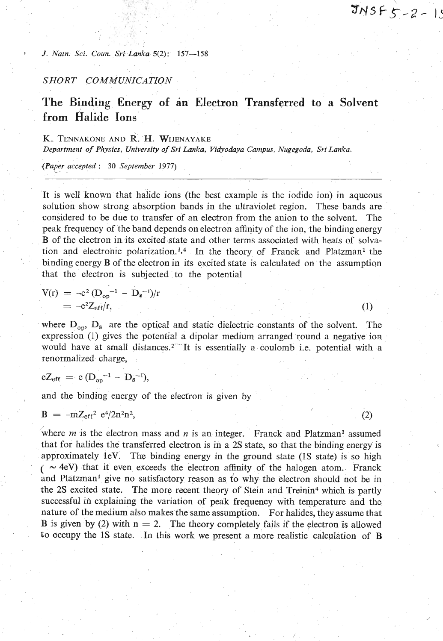$(2)$ 

#### *J. Natn. Sci. Coun. Sri Lanka S(2):* **157-158**

## *SHORT COMMUNICATION*

# **The Binding Energy of in Electron Transferred to a Solvent from Halide Ions**

## K. **TENNAKONE ANDR. H. WIJENAYAKE**

*Department* **of** *Physics, University of Sri Lanka. Vidyohya Campus, Nugegoda, Svi Lan!ca.* 

*(Paper accepted* : **30** *September 1977)* -

It is well known that halide ions (the best example is the iodide ion) in aqueous solution show strong absorption bands in the ultraviolet region. These bands are considered to be due to transfer of an electron from the anion to the solvent. The peak frequency of the band depends on electron affinity of the ion, the binding energy B of the electron in its excited state and other terms associated with heats of solvation and electronic polarization.<sup>1,4</sup> In the theory of Franck and Platzman<sup>1</sup> the binding energy B of the electron in its excited state is calculated on the assumption that the electron is subjected to the potential

$$
V(r) = -e^2 (D_{op}^{-1} - D_s^{-1})/r
$$
  
= -e<sup>2</sup>Z<sub>eff</sub>/r, (1)

where  $D_{op}$ ,  $D_s$  are the optical and static dielectric constants of the solvent. The expression (1) gives the potential a dipolar medium arranged round a negative ion would have at small distances.<sup>2</sup> It is essentially a coulomb i.e. potential with a renormalized charge,

$$
eZ_{eff} = e(D_{op}^{-1} - D_s^{-1}),
$$

and the binding energy of the electron is given by

$$
B = -mZ_{eff}^2 e^4/2n^2n^2
$$

where  $m$  is the electron mass and  $n$  is an integer. Franck and Platzman<sup>1</sup> assumed that for halides the transferred electron is in a 2s state, so that the binding energy is approximately lev. The binding energy in the ground state **(1s** state) is so high  $($   $\sim$  4eV) that it even exceeds the electron affinity of the halogen atom. Franck and Platzman<sup>1</sup> give no satisfactory reason as to why the electron should not be in the 2s excited state. The more recent theory of Stein and Treinin4 which is partly successful in explaining the variation of peak frequency with temperature and the nature of the medium also makes the same assumption. For halides, they assume that **B** is given by (2) with  $n = 2$ . The theory completely fails if the electron is allowed to occupy the 1S state. In this work we present a more realistic calculation of B